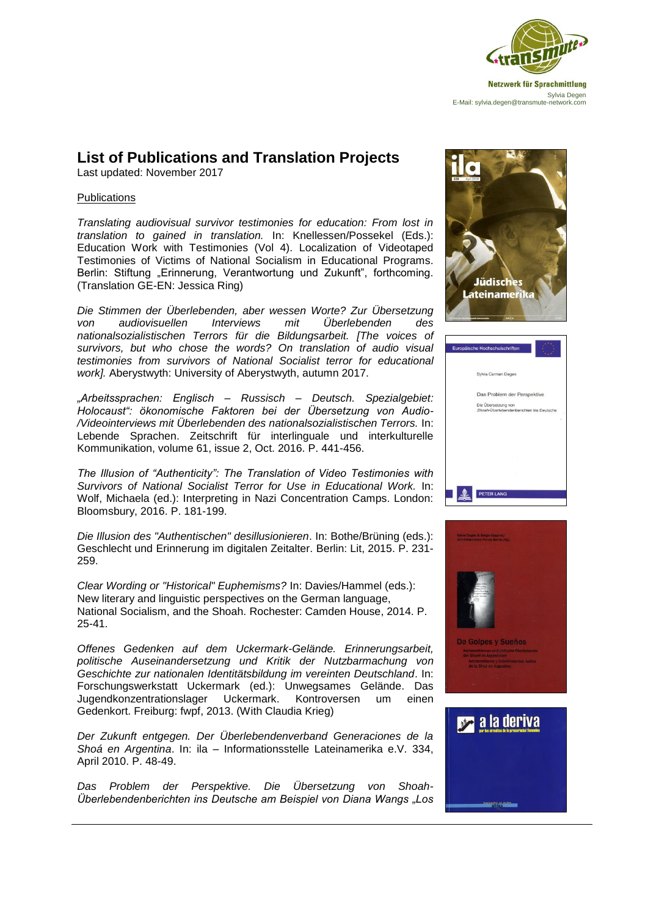

## **List of Publications and Translation Projects**

Last updated: November 2017

## **Publications**

*Translating audiovisual survivor testimonies for education: From lost in translation to gained in translation.* In: Knellessen/Possekel (Eds.): Education Work with Testimonies (Vol 4). Localization of Videotaped Testimonies of Victims of National Socialism in Educational Programs. Berlin: Stiftung "Erinnerung, Verantwortung und Zukunft", forthcoming. (Translation GE-EN: Jessica Ring)

*Die Stimmen der Überlebenden, aber wessen Worte? Zur Übersetzung von audiovisuellen Interviews mit Überlebenden des nationalsozialistischen Terrors für die Bildungsarbeit. [The voices of survivors, but who chose the words? On translation of audio visual testimonies from survivors of National Socialist terror for educational work].* Aberystwyth: University of Aberystwyth, autumn 2017.

*"Arbeitssprachen: Englisch – Russisch – Deutsch. Spezialgebiet: Holocaust": ökonomische Faktoren bei der Übersetzung von Audio- /Videointerviews mit Überlebenden des nationalsozialistischen Terrors.* In: Lebende Sprachen. Zeitschrift für interlinguale und interkulturelle Kommunikation, volume 61, issue 2, Oct. 2016. P. 441-456.

*The Illusion of "Authenticity": The Translation of Video Testimonies with Survivors of National Socialist Terror for Use in Educational Work.* In: Wolf, Michaela (ed.): Interpreting in Nazi Concentration Camps. London: Bloomsbury, 2016. P. 181-199.

*Die Illusion des "Authentischen" desillusionieren*. In: Bothe/Brüning (eds.): Geschlecht und Erinnerung im digitalen Zeitalter. Berlin: Lit, 2015. P. 231- 259.

*Clear Wording or "Historical" Euphemisms?* In: Davies/Hammel (eds.): New literary and linguistic perspectives on the German language, National Socialism, and the Shoah. Rochester: Camden House, 2014. P. 25-41.

*Offenes Gedenken auf dem Uckermark-Gelände. Erinnerungsarbeit, politische Auseinandersetzung und Kritik der Nutzbarmachung von Geschichte zur nationalen Identitätsbildung im vereinten Deutschland*. In: Forschungswerkstatt Uckermark (ed.): Unwegsames Gelände. Das Jugendkonzentrationslager Uckermark. Kontroversen um einen Gedenkort. Freiburg: fwpf, 2013. (With Claudia Krieg)

*Der Zukunft entgegen. Der Überlebendenverband Generaciones de la Shoá en Argentina*. In: ila – Informationsstelle Lateinamerika e.V. 334, April 2010. P. 48-49.

*Das Problem der Perspektive. Die Übersetzung von Shoah-Überlebendenberichten ins Deutsche am Beispiel von Diana Wangs "Los* 







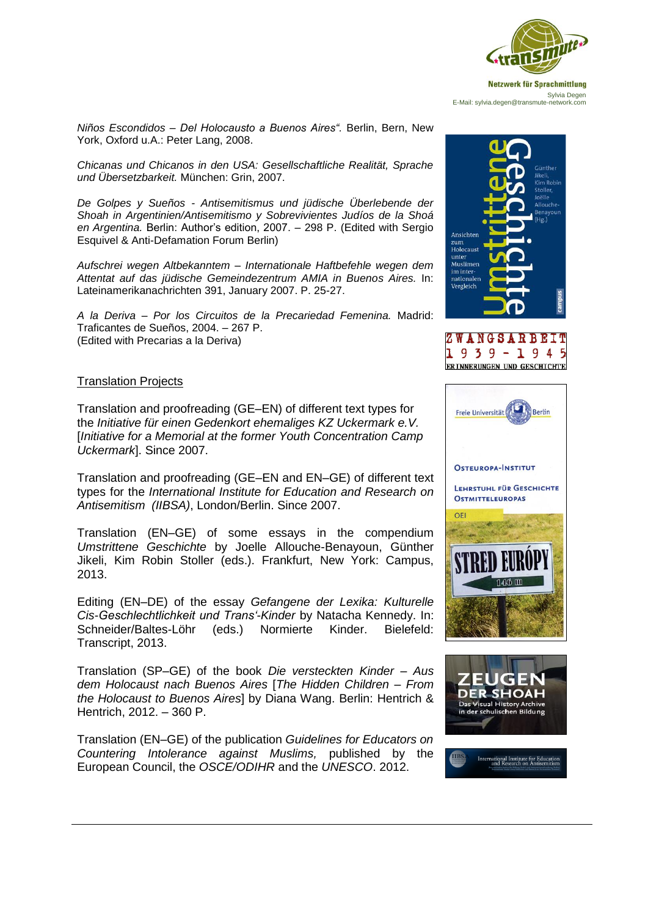

*Niños Escondidos – Del Holocausto a Buenos Aires".* Berlin, Bern, New York, Oxford u.A.: Peter Lang, 2008.

*Chicanas und Chicanos in den USA: Gesellschaftliche Realität, Sprache und Übersetzbarkeit.* München: Grin, 2007.

*De Golpes y Sueños - Antisemitismus und jüdische Überlebende der Shoah in Argentinien/Antisemitismo y Sobrevivientes Judíos de la Shoá en Argentina.* Berlin: Author's edition, 2007. – 298 P. (Edited with Sergio Esquivel & Anti-Defamation Forum Berlin)

*Aufschrei wegen Altbekanntem – Internationale Haftbefehle wegen dem Attentat auf das jüdische Gemeindezentrum AMIA in Buenos Aires.* In: Lateinamerikanachrichten 391, January 2007. P. 25-27.

*A la Deriva – Por los Circuitos de la Precariedad Femenina.* Madrid: Traficantes de Sueños, 2004. – 267 P. (Edited with Precarias a la Deriva)

## Translation Projects

Translation and proofreading (GE–EN) of different text types for the *Initiative für einen Gedenkort ehemaliges KZ Uckermark e.V.*  [*Initiative for a Memorial at the former Youth Concentration Camp Uckermark*]. Since 2007.

Translation and proofreading (GE–EN and EN–GE) of different text types for the *International Institute for Education and Research on Antisemitism (IIBSA)*, London/Berlin. Since 2007.

Translation (EN–GE) of some essays in the compendium *Umstrittene Geschichte* by Joelle Allouche-Benayoun, Günther Jikeli, Kim Robin Stoller (eds.). Frankfurt, New York: Campus, 2013.

Editing (EN–DE) of the essay *Gefangene der Lexika: Kulturelle Cis-Geschlechtlichkeit und Trans'-Kinder* by Natacha Kennedy. In: Schneider/Baltes-Löhr (eds.) Normierte Kinder. Bielefeld: Transcript, 2013.

Translation (SP–GE) of the book *Die versteckten Kinder – Aus dem Holocaust nach Buenos Aires* [*The Hidden Children – From the Holocaust to Buenos Aires*] by Diana Wang. Berlin: Hentrich & Hentrich, 2012. – 360 P.

Translation (EN–GE) of the publication *Guidelines for Educators on Countering Intolerance against Muslims,* published by the European Council, the *OSCE/ODIHR* and the *UNESCO*. 2012.







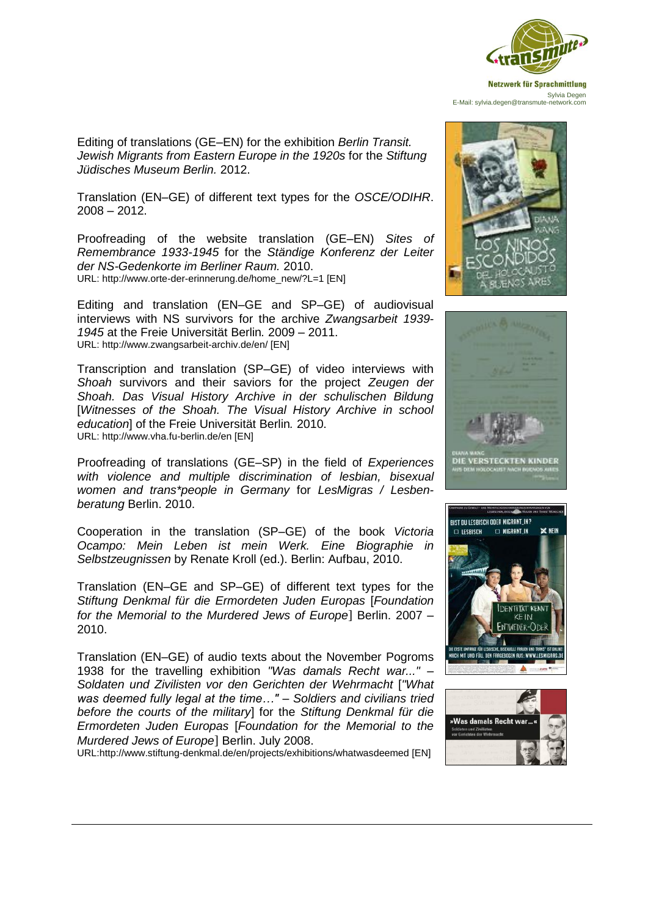

Editing of translations (GE–EN) for the exhibition *Berlin Transit. Jewish Migrants from Eastern Europe in the 1920s* for the *Stiftung Jüdisches Museum Berlin.* 2012.

Translation (EN–GE) of different text types for the *OSCE/ODIHR*. 2008 – 2012.

Proofreading of the website translation (GE–EN) *Sites of Remembrance 1933-1945* for the *Ständige Konferenz der Leiter der NS-Gedenkorte im Berliner Raum.* 2010. URL: http://www.orte-der-erinnerung.de/home\_new/?L=1 [EN]

Editing and translation (EN–GE and SP–GE) of audiovisual interviews with NS survivors for the archive *Zwangsarbeit 1939- 1945* at the Freie Universität Berlin*.* 2009 – 2011. URL: http://www.zwangsarbeit-archiv.de/en/ [EN]

Transcription and translation (SP–GE) of video interviews with *Shoah* survivors and their saviors for the project *Zeugen der Shoah. Das Visual History Archive in der schulischen Bildung*  [*Witnesses of the Shoah. The Visual History Archive in school education*] of the Freie Universität Berlin*.* 2010. URL: http://www.vha.fu-berlin.de/en [EN]

Proofreading of translations (GE–SP) in the field of *Experiences with violence and multiple discrimination of lesbian, bisexual women and trans\*people in Germany* for *LesMigras / Lesbenberatung* Berlin. 2010.

Cooperation in the translation (SP–GE) of the book *Victoria Ocampo: Mein Leben ist mein Werk. Eine Biographie in Selbstzeugnissen* by Renate Kroll (ed.). Berlin: Aufbau, 2010.

Translation (EN–GE and SP–GE) of different text types for the *Stiftung Denkmal für die Ermordeten Juden Europas* [*Foundation for the Memorial to the Murdered Jews of Europe*] Berlin. 2007 – 2010.

Translation (EN–GE) of audio texts about the November Pogroms 1938 for the travelling exhibition *"Was damals Recht war..." – Soldaten und Zivilisten vor den Gerichten der Wehrmacht* [*"What was deemed fully legal at the time…" – Soldiers and civilians tried before the courts of the military*] for the *Stiftung Denkmal für die Ermordeten Juden Europas* [*Foundation for the Memorial to the Murdered Jews of Europe*] Berlin. July 2008.

URL:http://www.stiftung-denkmal.de/en/projects/exhibitions/whatwasdeemed [EN]